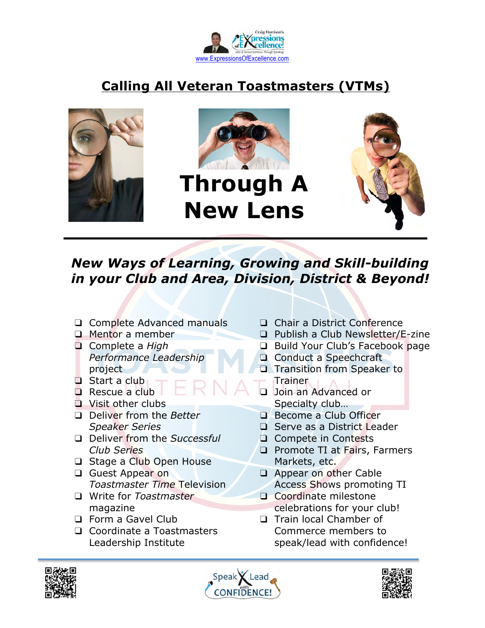

## **Calling All Veteran Toastmasters (VTMs)**







*New Ways of Learning, Growing and Skill-building in your Club and Area, Division, District & Beyond!*

- □ Complete Advanced manuals
- ❑ Mentor a member
- ❑ Complete a *High Performance Leadership* project
- ❑ Start a club
- ❑ Rescue a club
- ❑ Visit other clubs
- ❑ Deliver from the *Better Speaker Series*
- ❑ Deliver from the *Successful Club Series*
- □ Stage a Club Open House
- ❑ Guest Appear on *Toastmaster Time* Television
- ❑ Write for *Toastmaster* magazine
- ❑ Form a Gavel Club
- ❑ Coordinate a Toastmasters Leadership Institute
- ❑ Chair a District Conference
- ❑ Publish a Club Newsletter/E-zine
- ❑ Build Your Club's Facebook page
- ❑ Conduct a Speechcraft
- ❑ Transition from Speaker to Trainer
- ❑ Join an Advanced or Specialty club…
- ❑ Become a Club Officer
- ❑ Serve as a District Leader
- ❑ Compete in Contests
- □ Promote TI at Fairs, Farmers Markets, etc.
- ❑ Appear on other Cable Access Shows promoting TI
- ❑ Coordinate milestone celebrations for your club!
- ❑ Train local Chamber of Commerce members to speak/lead with confidence!





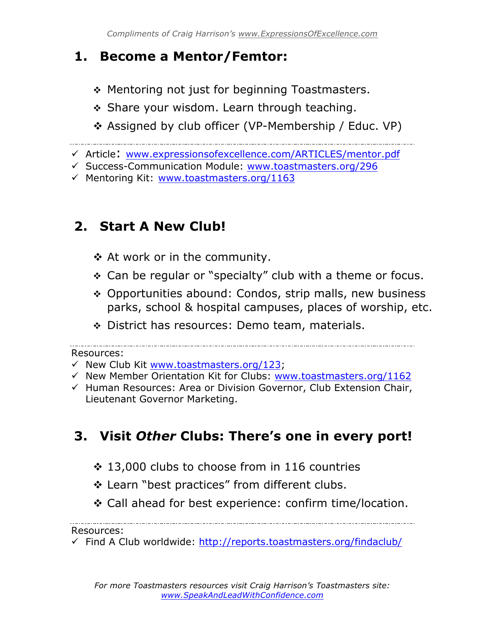## **1. Become a Mentor/Femtor:**

- \* Mentoring not just for beginning Toastmasters.
- ◆ Share your wisdom. Learn through teaching.
- Assigned by club officer (VP-Membership / Educ. VP)

Article: www.expressionsofexcellence.com/ARTICLES/mentor.pdf

- Success-Communication Module: www.toastmasters.org/296
- $\checkmark$  Mentoring Kit: www.toastmasters.org/1163

## **2. Start A New Club!**

- At work or in the community.
- Can be regular or "specialty" club with a theme or focus.
- ◆ Opportunities abound: Condos, strip malls, new business parks, school & hospital campuses, places of worship, etc.
- District has resources: Demo team, materials.

Resources:

- $\checkmark$  New Club Kit www.toastmasters.org/123;
- $\checkmark$  New Member Orientation Kit for Clubs: www.toastmasters.org/1162
- $\checkmark$  Human Resources: Area or Division Governor, Club Extension Chair, Lieutenant Governor Marketing.

## **3. Visit** *Other* **Clubs: There's one in every port!**

- 13,000 clubs to choose from in 116 countries
- Learn "best practices" from different clubs.
- Call ahead for best experience: confirm time/location.

Resources:

 $\checkmark$  Find A Club worldwide: http://reports.toastmasters.org/findaclub/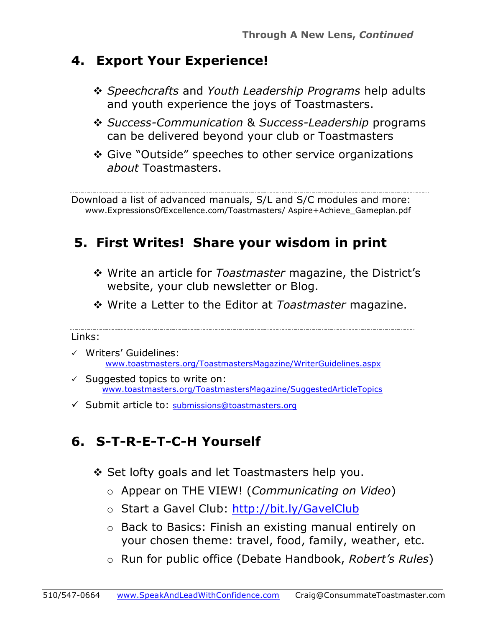### **4. Export Your Experience!**

- *Speechcrafts* and *Youth Leadership Programs* help adults and youth experience the joys of Toastmasters.
- *Success-Communication* & *Success-Leadership* programs can be delivered beyond your club or Toastmasters
- Give "Outside" speeches to other service organizations *about* Toastmasters.

Download a list of advanced manuals, S/L and S/C modules and more: www.ExpressionsOfExcellence.com/Toastmasters/ Aspire+Achieve\_Gameplan.pdf

## **5. First Writes! Share your wisdom in print**

- Write an article for *Toastmaster* magazine, the District's website, your club newsletter or Blog.
- Write a Letter to the Editor at *Toastmaster* magazine.

### Links:

- $\checkmark$  Writers' Guidelines: www.toastmasters.org/ToastmastersMagazine/WriterGuidelines.aspx
- $\checkmark$  Suggested topics to write on: www.toastmasters.org/ToastmastersMagazine/SuggestedArticleTopics
- $\checkmark$  Submit article to: submissions@toastmasters.org

## **6. S-T-R-E-T-C-H Yourself**

- ❖ Set lofty goals and let Toastmasters help you.
	- o Appear on THE VIEW! (*Communicating on Video*)
	- o Start a Gavel Club: http://bit.ly/GavelClub
	- o Back to Basics: Finish an existing manual entirely on your chosen theme: travel, food, family, weather, etc.
	- o Run for public office (Debate Handbook, *Robert's Rules*)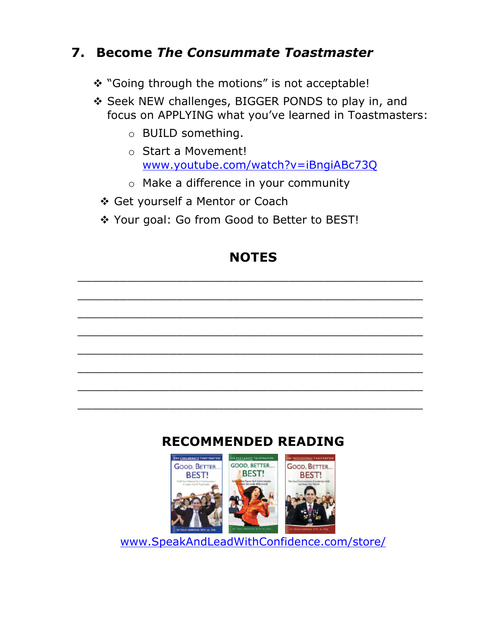## **7. Become** *The Consummate Toastmaster*

- \* "Going through the motions" is not acceptable!
- Seek NEW challenges, BIGGER PONDS to play in, and focus on APPLYING what you've learned in Toastmasters:
	- o BUILD something.
	- o Start a Movement! www.youtube.com/watch?v=iBngiABc73Q
	- o Make a difference in your community
	- Get yourself a Mentor or Coach
	- \* Your goal: Go from Good to Better to BEST!



# **RECOMMENDED READING**



www.SpeakAndLeadWithConfidence.com/store/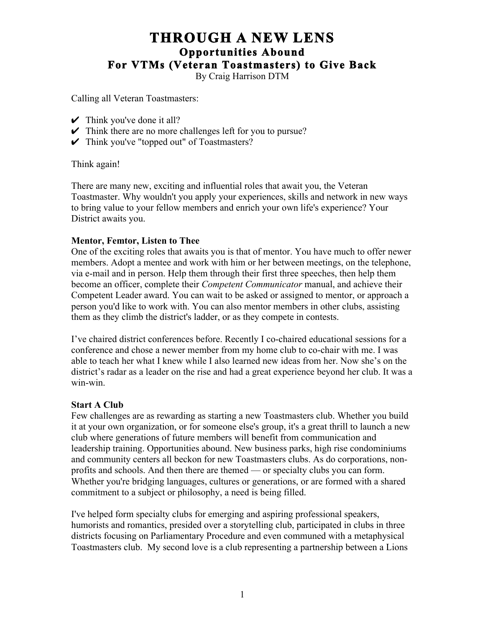# **THROUGH A NEW LENS Opportunities Abound For VTMs (Veteran Toastmasters) to Give Back**

By Craig Harrison DTM

Calling all Veteran Toastmasters:

- $\vee$  Think you've done it all?
- $\triangleright$  Think there are no more challenges left for you to pursue?
- ✔ Think you've "topped out" of Toastmasters?

Think again!

There are many new, exciting and influential roles that await you, the Veteran Toastmaster. Why wouldn't you apply your experiences, skills and network in new ways to bring value to your fellow members and enrich your own life's experience? Your District awaits you.

### **Mentor, Femtor, Listen to Thee**

One of the exciting roles that awaits you is that of mentor. You have much to offer newer members. Adopt a mentee and work with him or her between meetings, on the telephone, via e-mail and in person. Help them through their first three speeches, then help them become an officer, complete their *Competent Communicator* manual, and achieve their Competent Leader award. You can wait to be asked or assigned to mentor, or approach a person you'd like to work with. You can also mentor members in other clubs, assisting them as they climb the district's ladder, or as they compete in contests.

I've chaired district conferences before. Recently I co-chaired educational sessions for a conference and chose a newer member from my home club to co-chair with me. I was able to teach her what I knew while I also learned new ideas from her. Now she's on the district's radar as a leader on the rise and had a great experience beyond her club. It was a win-win.

### **Start A Club**

Few challenges are as rewarding as starting a new Toastmasters club. Whether you build it at your own organization, or for someone else's group, it's a great thrill to launch a new club where generations of future members will benefit from communication and leadership training. Opportunities abound. New business parks, high rise condominiums and community centers all beckon for new Toastmasters clubs. As do corporations, nonprofits and schools. And then there are themed — or specialty clubs you can form. Whether you're bridging languages, cultures or generations, or are formed with a shared commitment to a subject or philosophy, a need is being filled.

I've helped form specialty clubs for emerging and aspiring professional speakers, humorists and romantics, presided over a storytelling club, participated in clubs in three districts focusing on Parliamentary Procedure and even communed with a metaphysical Toastmasters club. My second love is a club representing a partnership between a Lions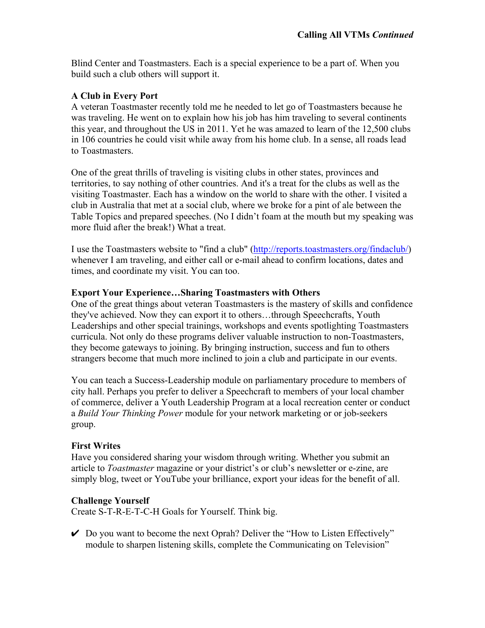Blind Center and Toastmasters. Each is a special experience to be a part of. When you build such a club others will support it.

### **A Club in Every Port**

A veteran Toastmaster recently told me he needed to let go of Toastmasters because he was traveling. He went on to explain how his job has him traveling to several continents this year, and throughout the US in 2011. Yet he was amazed to learn of the 12,500 clubs in 106 countries he could visit while away from his home club. In a sense, all roads lead to Toastmasters.

One of the great thrills of traveling is visiting clubs in other states, provinces and territories, to say nothing of other countries. And it's a treat for the clubs as well as the visiting Toastmaster. Each has a window on the world to share with the other. I visited a club in Australia that met at a social club, where we broke for a pint of ale between the Table Topics and prepared speeches. (No I didn't foam at the mouth but my speaking was more fluid after the break!) What a treat.

I use the Toastmasters website to "find a club" (http://reports.toastmasters.org/findaclub/) whenever I am traveling, and either call or e-mail ahead to confirm locations, dates and times, and coordinate my visit. You can too.

### **Export Your Experience…Sharing Toastmasters with Others**

One of the great things about veteran Toastmasters is the mastery of skills and confidence they've achieved. Now they can export it to others…through Speechcrafts, Youth Leaderships and other special trainings, workshops and events spotlighting Toastmasters curricula. Not only do these programs deliver valuable instruction to non-Toastmasters, they become gateways to joining. By bringing instruction, success and fun to others strangers become that much more inclined to join a club and participate in our events.

You can teach a Success-Leadership module on parliamentary procedure to members of city hall. Perhaps you prefer to deliver a Speechcraft to members of your local chamber of commerce, deliver a Youth Leadership Program at a local recreation center or conduct a *Build Your Thinking Power* module for your network marketing or or job-seekers group.

### **First Writes**

Have you considered sharing your wisdom through writing. Whether you submit an article to *Toastmaster* magazine or your district's or club's newsletter or e-zine, are simply blog, tweet or YouTube your brilliance, export your ideas for the benefit of all.

### **Challenge Yourself**

Create S-T-R-E-T-C-H Goals for Yourself. Think big.

 $\triangleright$  Do you want to become the next Oprah? Deliver the "How to Listen Effectively" module to sharpen listening skills, complete the Communicating on Television"